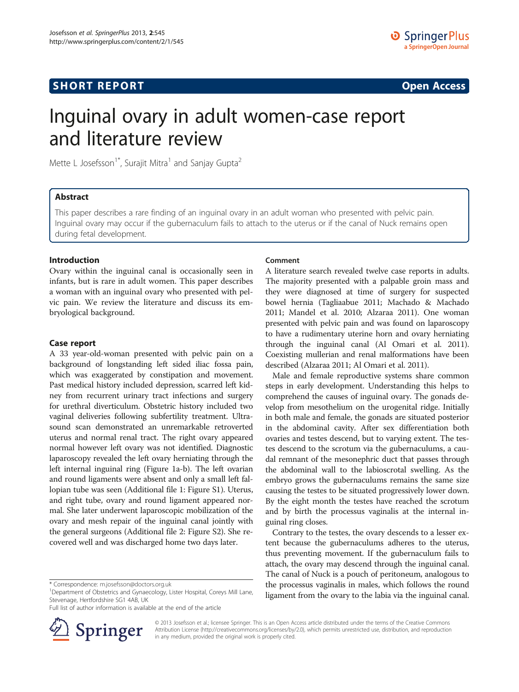# **SHORT REPORT SHORT CONSUMING THE SHORT CONSUMING THE SHORT**

# Inguinal ovary in adult women-case report and literature review

Mette L Josefsson<sup>1\*</sup>, Surajit Mitra<sup>1</sup> and Sanjay Gupta<sup>2</sup>

# Abstract

This paper describes a rare finding of an inguinal ovary in an adult woman who presented with pelvic pain. Inguinal ovary may occur if the gubernaculum fails to attach to the uterus or if the canal of Nuck remains open during fetal development.

## Introduction

Ovary within the inguinal canal is occasionally seen in infants, but is rare in adult women. This paper describes a woman with an inguinal ovary who presented with pelvic pain. We review the literature and discuss its embryological background.

### Case report

A 33 year-old-woman presented with pelvic pain on a background of longstanding left sided iliac fossa pain, which was exaggerated by constipation and movement. Past medical history included depression, scarred left kidney from recurrent urinary tract infections and surgery for urethral diverticulum. Obstetric history included two vaginal deliveries following subfertility treatment. Ultrasound scan demonstrated an unremarkable retroverted uterus and normal renal tract. The right ovary appeared normal however left ovary was not identified. Diagnostic laparoscopy revealed the left ovary herniating through the left internal inguinal ring (Figure [1](#page-1-0)a-b). The left ovarian and round ligaments were absent and only a small left fallopian tube was seen (Additional file [1:](#page-1-0) Figure S1). Uterus, and right tube, ovary and round ligament appeared normal. She later underwent laparoscopic mobilization of the ovary and mesh repair of the inguinal canal jointly with the general surgeons (Additional file [2:](#page-1-0) Figure S2). She recovered well and was discharged home two days later.

Full list of author information is available at the end of the article



#### Comment

A literature search revealed twelve case reports in adults. The majority presented with a palpable groin mass and they were diagnosed at time of surgery for suspected bowel hernia (Tagliaabue [2011;](#page-1-0) Machado & Machado [2011](#page-1-0); Mandel et al. [2010;](#page-1-0) Alzaraa [2011\)](#page-1-0). One woman presented with pelvic pain and was found on laparoscopy to have a rudimentary uterine horn and ovary herniating through the inguinal canal (Al Omari et al. [2011](#page-1-0)). Coexisting mullerian and renal malformations have been described (Alzaraa [2011;](#page-1-0) Al Omari et al. [2011](#page-1-0)).

Male and female reproductive systems share common steps in early development. Understanding this helps to comprehend the causes of inguinal ovary. The gonads develop from mesothelium on the urogenital ridge. Initially in both male and female, the gonads are situated posterior in the abdominal cavity. After sex differentiation both ovaries and testes descend, but to varying extent. The testes descend to the scrotum via the gubernaculums, a caudal remnant of the mesonephric duct that passes through the abdominal wall to the labioscrotal swelling. As the embryo grows the gubernaculums remains the same size causing the testes to be situated progressively lower down. By the eight month the testes have reached the scrotum and by birth the processus vaginalis at the internal inguinal ring closes.

Contrary to the testes, the ovary descends to a lesser extent because the gubernaculums adheres to the uterus, thus preventing movement. If the gubernaculum fails to attach, the ovary may descend through the inguinal canal. The canal of Nuck is a pouch of peritoneum, analogous to the processus vaginalis in males, which follows the round ligament from the ovary to the labia via the inguinal canal.

© 2013 Josefsson et al.; licensee Springer. This is an Open Access article distributed under the terms of the Creative Commons Attribution License [\(http://creativecommons.org/licenses/by/2.0\)](http://creativecommons.org/licenses/by/2.0), which permits unrestricted use, distribution, and reproduction in any medium, provided the original work is properly cited.

<sup>\*</sup> Correspondence: [m.josefsson@doctors.org.uk](mailto:m.josefsson@doctors.org.uk) <sup>1</sup>

<sup>&</sup>lt;sup>1</sup>Department of Obstetrics and Gynaecology, Lister Hospital, Coreys Mill Lane, Stevenage, Hertfordshire SG1 4AB, UK